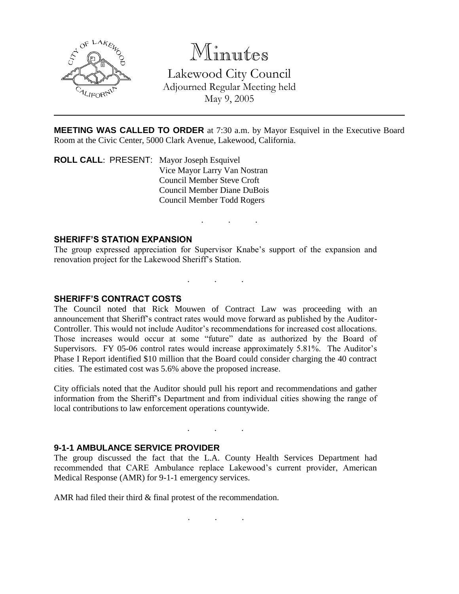

# Minutes

Lakewood City Council Adjourned Regular Meeting held May 9, 2005

**MEETING WAS CALLED TO ORDER** at 7:30 a.m. by Mayor Esquivel in the Executive Board Room at the Civic Center, 5000 Clark Avenue, Lakewood, California.

. . .

**ROLL CALL**: PRESENT: Mayor Joseph Esquivel Vice Mayor Larry Van Nostran Council Member Steve Croft Council Member Diane DuBois Council Member Todd Rogers

### **SHERIFF'S STATION EXPANSION**

The group expressed appreciation for Supervisor Knabe's support of the expansion and renovation project for the Lakewood Sheriff's Station.

. . .

#### **SHERIFF'S CONTRACT COSTS**

The Council noted that Rick Mouwen of Contract Law was proceeding with an announcement that Sheriff's contract rates would move forward as published by the Auditor-Controller. This would not include Auditor's recommendations for increased cost allocations. Those increases would occur at some "future" date as authorized by the Board of Supervisors. FY 05-06 control rates would increase approximately 5.81%. The Auditor's Phase I Report identified \$10 million that the Board could consider charging the 40 contract cities. The estimated cost was 5.6% above the proposed increase.

City officials noted that the Auditor should pull his report and recommendations and gather information from the Sheriff's Department and from individual cities showing the range of local contributions to law enforcement operations countywide.

. . .

#### **9-1-1 AMBULANCE SERVICE PROVIDER**

The group discussed the fact that the L.A. County Health Services Department had recommended that CARE Ambulance replace Lakewood's current provider, American Medical Response (AMR) for 9-1-1 emergency services.

AMR had filed their third  $&$  final protest of the recommendation.

. . .